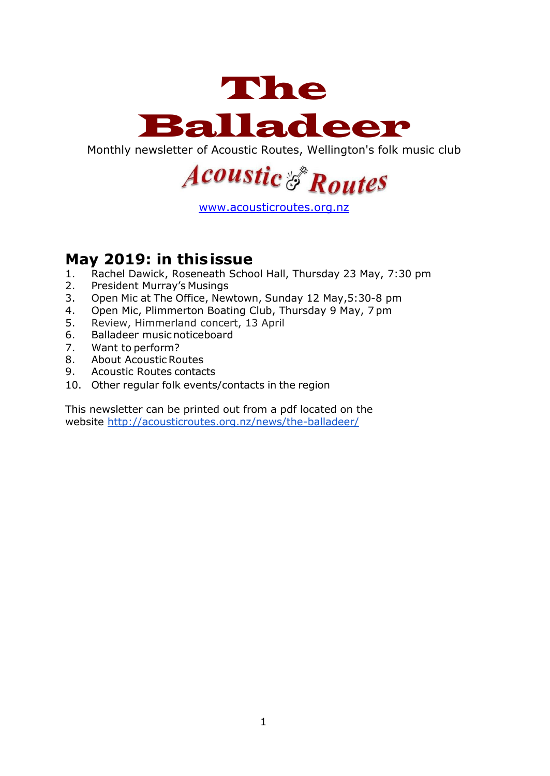

Monthly newsletter of Acoustic Routes, Wellington's folk music club



[www.acousticroutes.org.nz](http://www.acousticroutes.org.nz/)

### **May 2019: in thisissue**

- 1. Rachel Dawick, Roseneath School Hall, Thursday 23 May, 7:30 pm
- 2. President Murray's Musings
- 3. Open Mic at The Office, Newtown, Sunday 12 May,5:30-8 pm
- 4. Open Mic, Plimmerton Boating Club, Thursday 9 May, 7 pm
- 5. Review, Himmerland concert, 13 April
- 6. Balladeer musicnoticeboard
- 7. Want to perform?
- 8. About Acoustic Routes
- 9. Acoustic Routes contacts
- 10. Other regular folk events/contacts in the region

This newsletter can be printed out from a pdf located on the website<http://acousticroutes.org.nz/news/the-balladeer/>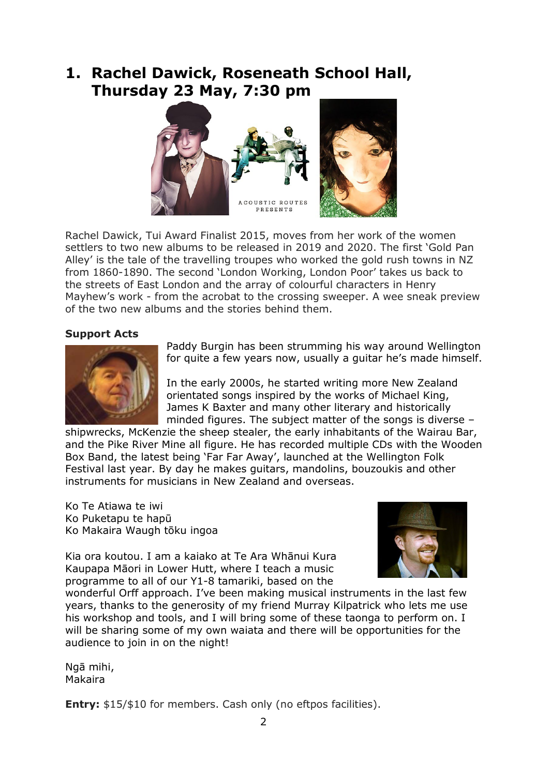# **1. Rachel Dawick, Roseneath School Hall, Thursday 23 May, 7:30 pm**



Rachel Dawick, Tui Award Finalist 2015, moves from her work of the women settlers to two new albums to be released in 2019 and 2020. The first 'Gold Pan Alley' is the tale of the travelling troupes who worked the gold rush towns in NZ from 1860-1890. The second 'London Working, London Poor' takes us back to the streets of East London and the array of colourful characters in Henry Mayhew's work - from the acrobat to the crossing sweeper. A wee sneak preview of the two new albums and the stories behind them.

#### **Support Acts**



Paddy Burgin has been strumming his way around Wellington for quite a few years now, usually a guitar he's made himself.

In the early 2000s, he started writing more New Zealand orientated songs inspired by the works of Michael King, James K Baxter and many other literary and historically minded figures. The subject matter of the songs is diverse –

shipwrecks, McKenzie the sheep stealer, the early inhabitants of the Wairau Bar, and the Pike River Mine all figure. He has recorded multiple CDs with the Wooden Box Band, the latest being 'Far Far Away', launched at the Wellington Folk Festival last year. By day he makes guitars, mandolins, bouzoukis and other instruments for musicians in New Zealand and overseas.

Ko Te Atiawa te iwi Ko Puketapu te hapū Ko Makaira Waugh tōku ingoa

Kia ora koutou. I am a kaiako at Te Ara Whānui Kura Kaupapa Māori in Lower Hutt, where I teach a music programme to all of our Y1-8 tamariki, based on the



wonderful Orff approach. I've been making musical instruments in the last few years, thanks to the generosity of my friend Murray Kilpatrick who lets me use his workshop and tools, and I will bring some of these taonga to perform on. I will be sharing some of my own waiata and there will be opportunities for the audience to join in on the night!

Ngā mihi, Makaira

**Entry:** \$15/\$10 for members. Cash only (no eftpos facilities).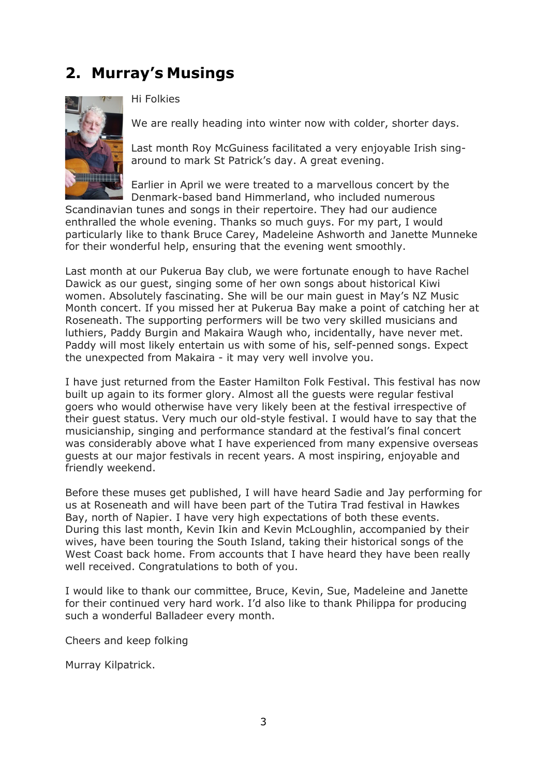# **2. Murray's Musings**



Hi Folkies

We are really heading into winter now with colder, shorter days.

Last month Roy McGuiness facilitated a very enjoyable Irish singaround to mark St Patrick's day. A great evening.

Earlier in April we were treated to a marvellous concert by the Denmark-based band Himmerland, who included numerous

Scandinavian tunes and songs in their repertoire. They had our audience enthralled the whole evening. Thanks so much guys. For my part, I would particularly like to thank Bruce Carey, Madeleine Ashworth and Janette Munneke for their wonderful help, ensuring that the evening went smoothly.

Last month at our Pukerua Bay club, we were fortunate enough to have Rachel Dawick as our guest, singing some of her own songs about historical Kiwi women. Absolutely fascinating. She will be our main guest in May's NZ Music Month concert. If you missed her at Pukerua Bay make a point of catching her at Roseneath. The supporting performers will be two very skilled musicians and luthiers, Paddy Burgin and Makaira Waugh who, incidentally, have never met. Paddy will most likely entertain us with some of his, self-penned songs. Expect the unexpected from Makaira - it may very well involve you.

I have just returned from the Easter Hamilton Folk Festival. This festival has now built up again to its former glory. Almost all the guests were regular festival goers who would otherwise have very likely been at the festival irrespective of their guest status. Very much our old-style festival. I would have to say that the musicianship, singing and performance standard at the festival's final concert was considerably above what I have experienced from many expensive overseas guests at our major festivals in recent years. A most inspiring, enjoyable and friendly weekend.

Before these muses get published, I will have heard Sadie and Jay performing for us at Roseneath and will have been part of the Tutira Trad festival in Hawkes Bay, north of Napier. I have very high expectations of both these events. During this last month, Kevin Ikin and Kevin McLoughlin, accompanied by their wives, have been touring the South Island, taking their historical songs of the West Coast back home. From accounts that I have heard they have been really well received. Congratulations to both of you.

I would like to thank our committee, Bruce, Kevin, Sue, Madeleine and Janette for their continued very hard work. I'd also like to thank Philippa for producing such a wonderful Balladeer every month.

Cheers and keep folking

Murray Kilpatrick.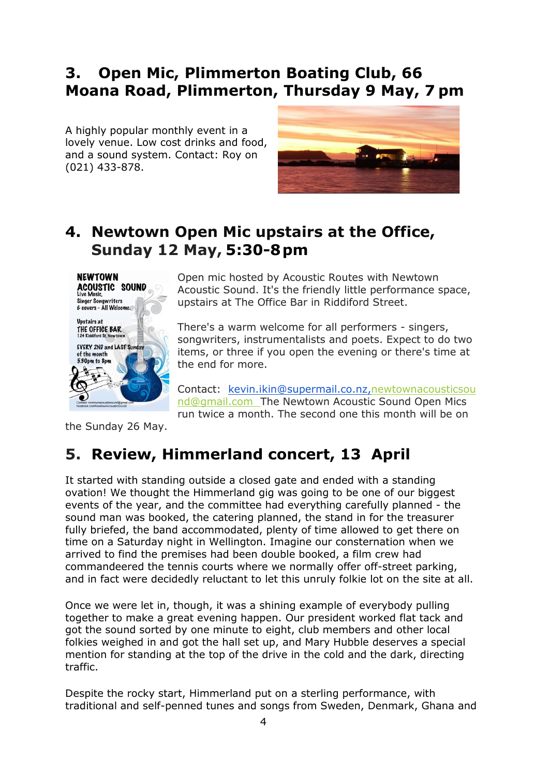## **3. Open Mic, Plimmerton Boating Club, 66 Moana Road, Plimmerton, Thursday 9 May, 7 pm**

A highly popular monthly event in a lovely venue. Low cost drinks and food, and a sound system. Contact: Roy on (021) 433-878.



### **4. Newtown Open Mic upstairs at the Office, Sunday 12 May, 5:30-8pm**



Open mic hosted by Acoustic Routes with Newtown Acoustic Sound. It's the friendly little performance space, upstairs at The Office Bar in Riddiford Street.

There's a warm welcome for all performers - singers, songwriters, instrumentalists and poets. Expect to do two items, or three if you open the evening or there's time at the end for more.

Contact: [kevin.ikin@supermail.co.nz](mailto:kevin.ikin@supermail.co.nz)[,newtownacousticsou](mailto:newtownacousticsound@gmail.com) [nd@gmail.com](mailto:newtownacousticsound@gmail.com) The Newtown Acoustic Sound Open Mics run twice a month. The second one this month will be on

the Sunday 26 May.

# **5. Review, Himmerland concert, 13 April**

It started with standing outside a closed gate and ended with a standing ovation! We thought the Himmerland gig was going to be one of our biggest events of the year, and the committee had everything carefully planned - the sound man was booked, the catering planned, the stand in for the treasurer fully briefed, the band accommodated, plenty of time allowed to get there on time on a Saturday night in Wellington. Imagine our consternation when we arrived to find the premises had been double booked, a film crew had commandeered the tennis courts where we normally offer off-street parking, and in fact were decidedly reluctant to let this unruly folkie lot on the site at all.

Once we were let in, though, it was a shining example of everybody pulling together to make a great evening happen. Our president worked flat tack and got the sound sorted by one minute to eight, club members and other local folkies weighed in and got the hall set up, and Mary Hubble deserves a special mention for standing at the top of the drive in the cold and the dark, directing traffic.

Despite the rocky start, Himmerland put on a sterling performance, with traditional and self-penned tunes and songs from Sweden, Denmark, Ghana and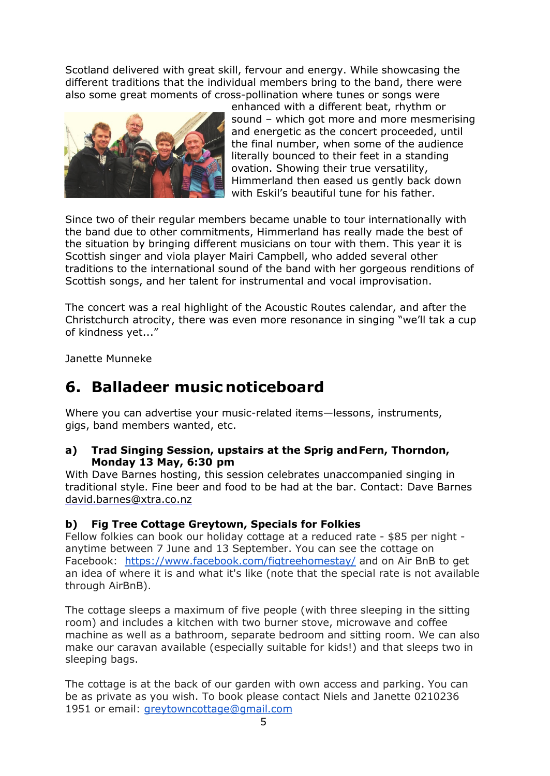Scotland delivered with great skill, fervour and energy. While showcasing the different traditions that the individual members bring to the band, there were also some great moments of cross-pollination where tunes or songs were



enhanced with a different beat, rhythm or sound – which got more and more mesmerising and energetic as the concert proceeded, until the final number, when some of the audience literally bounced to their feet in a standing ovation. Showing their true versatility, Himmerland then eased us gently back down with Eskil's beautiful tune for his father.

Since two of their regular members became unable to tour internationally with the band due to other commitments, Himmerland has really made the best of the situation by bringing different musicians on tour with them. This year it is Scottish singer and viola player Mairi Campbell, who added several other traditions to the international sound of the band with her gorgeous renditions of Scottish songs, and her talent for instrumental and vocal improvisation.

The concert was a real highlight of the Acoustic Routes calendar, and after the Christchurch atrocity, there was even more resonance in singing "we'll tak a cup of kindness yet..."

Janette Munneke

## **6. Balladeer music noticeboard**

Where you can advertise your music-related items—lessons, instruments, gigs, band members wanted, etc.

#### **a) Trad Singing Session, upstairs at the Sprig andFern, Thorndon, Monday 13 May, 6:30 pm**

With Dave Barnes hosting, this session celebrates unaccompanied singing in traditional style. Fine beer and food to be had at the bar. Contact: Dave Barnes [david.barnes@xtra.co.nz](mailto:david.barnes@xtra.co.nz)

#### **b) Fig Tree Cottage Greytown, Specials for Folkies**

Fellow folkies can book our holiday cottage at a reduced rate - \$85 per night anytime between 7 June and 13 September. You can see the cottage on Facebook: <https://www.facebook.com/figtreehomestay/> and on Air BnB to get an idea of where it is and what it's like (note that the special rate is not available through AirBnB).

The cottage sleeps a maximum of five people (with three sleeping in the sitting room) and includes a kitchen with two burner stove, microwave and coffee machine as well as a bathroom, separate bedroom and sitting room. We can also make our caravan available (especially suitable for kids!) and that sleeps two in sleeping bags.

The cottage is at the back of our garden with own access and parking. You can be as private as you wish. To book please contact Niels and Janette 0210236 1951 or email: [greytowncottage@gmail.com](mailto:greytowncottage@gmail.com)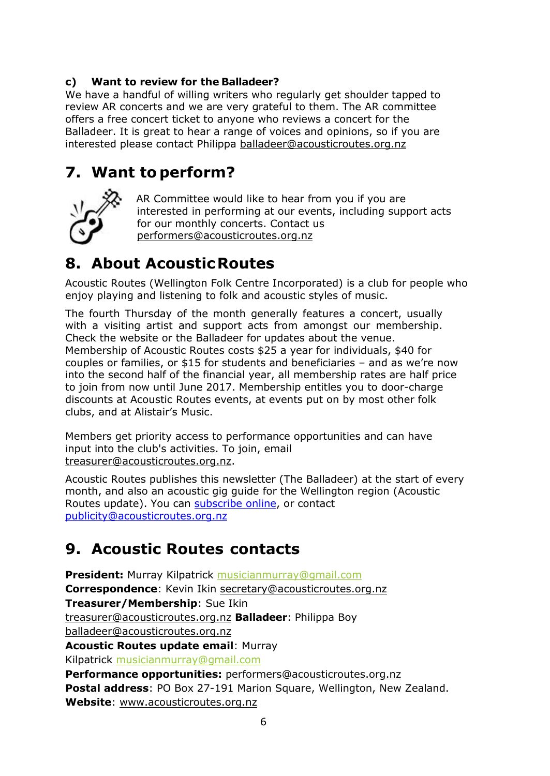### **c) Want to review for the Balladeer?**

We have a handful of willing writers who regularly get shoulder tapped to review AR concerts and we are very grateful to them. The AR committee offers a free concert ticket to anyone who reviews a concert for the Balladeer. It is great to hear a range of voices and opinions, so if you are interested please contact Philippa [balladeer@acousticroutes.org.nz](mailto:balladeer@acousticroutes.org.nz)

# **7. Want to perform?**



AR Committee would like to hear from you if you are interested in performing at our events, including support acts for our monthly concerts. Contact us [performers@acousticroutes.org.nz](mailto:performers@acousticroutes.org.nz)

# **8. About AcousticRoutes**

Acoustic Routes (Wellington Folk Centre Incorporated) is a club for people who enjoy playing and listening to folk and acoustic styles of music.

The fourth Thursday of the month generally features a concert, usually with a visiting artist and support acts from amongst our membership. Check the website or the Balladeer for updates about the venue. Membership of Acoustic Routes costs \$25 a year for individuals, \$40 for couples or families, or \$15 for students and beneficiaries – and as we're now into the second half of the financial year, all membership rates are half price to join from now until June 2017. Membership entitles you to door-charge discounts at Acoustic Routes events, at events put on by most other folk clubs, and at Alistair's Music.

Members get priority access to performance opportunities and can have input into the club's activities. To join, email [treasurer@acousticroutes.org.nz.](mailto:treasurer@acousticroutes.org.nz)

Acoustic Routes publishes this newsletter (The Balladeer) at the start of every month, and also an acoustic gig guide for the Wellington region (Acoustic Routes update). You can [subscribe online,](http://eepurl.com/mP90b) or contact [publicity@acousticroutes.org.nz](mailto:publicity@acousticroutes.org.nz)

# **9. Acoustic Routes contacts**

**President:** Murray Kilpatrick [musicianmurray@gmail.com](mailto:musicianmurray@gmail.com)  **Correspondence**: Kevin Ikin [secretary@acousticroutes.org.nz](mailto:secretary@acousticroutes.org.nz) **Treasurer/Membership**: Sue Ikin [treasurer@acousticroutes.org.nz](mailto:treasurer@acousticroutes.org.nz) **Balladeer**: Philippa Boy [balladeer@acousticroutes.org.nz](mailto:balladeer@acousticroutes.org.nz) **Acoustic Routes update email**: Murray Kilpatrick [musicianmurray@gmail.com](mailto:musicianmurray@gmail.com)  **Performance opportunities:** [performers@acousticroutes.org.nz](mailto:performers@acousticroutes.org.nz) **Postal address**: PO Box 27-191 Marion Square, Wellington, New Zealand. **Website**: [www.acousticroutes.org.nz](http://www.acousticroutes.org.nz/)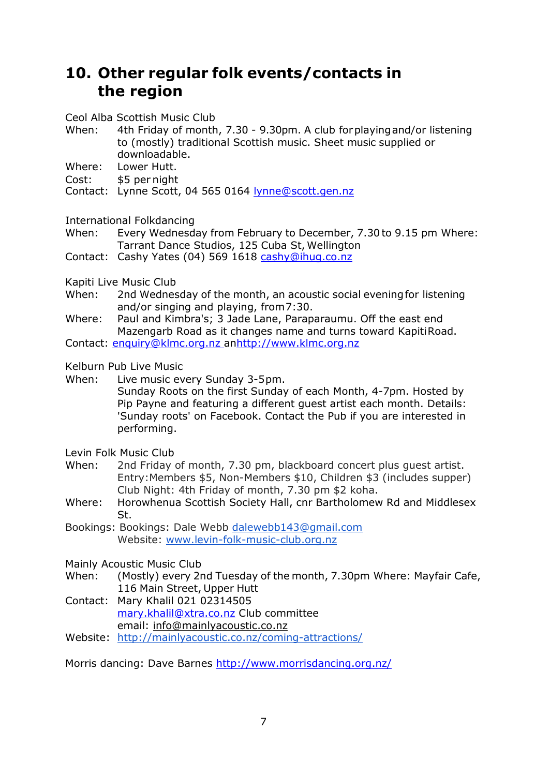# **10. Other regular folk events/contacts in the region**

Ceol Alba Scottish Music Club

- When: 4th Friday of month, 7.30 9.30pm. A club forplayingand/or listening to (mostly) traditional Scottish music. Sheet music supplied or downloadable.
- Where: Lower Hutt.
- Cost: \$5 per night
- Contact: Lynne Scott, 04 565 0164 [lynne@scott.gen.nz](mailto:lynne@scott.gen.nz)

International Folkdancing

When: Every Wednesday from February to December, 7.30to 9.15 pm Where: Tarrant Dance Studios, 125 Cuba St, Wellington

Contact: Cashy Yates (04) 569 1618 [cashy@ihug.co.nz](mailto:cashy@ihug.co.nz)

Kapiti Live Music Club

When: 2nd Wednesday of the month, an acoustic social evening for listening and/or singing and playing, from7:30.

Where: Paul and Kimbra's; 3 Jade Lane, Paraparaumu. Off the east end Mazengarb Road as it changes name and turns toward KapitiRoad. Contact: [enquiry@klmc.org.nz a](mailto:enquiry@klmc.org.nz)[nhttp://www.klmc.org.nz](http://www.klmc.org.nz/)

Kelburn Pub Live Music

When: Live music every Sunday 3-5pm.

Sunday Roots on the first Sunday of each Month, 4-7pm. Hosted by Pip Payne and featuring a different guest artist each month. Details: 'Sunday roots' on Facebook. Contact the Pub if you are interested in performing.

Levin Folk Music Club

- When: 2nd Friday of month, 7.30 pm, blackboard concert plus guest artist. Entry:Members \$5, Non-Members \$10, Children \$3 (includes supper) Club Night: 4th Friday of month, 7.30 pm \$2 koha.
- Where: Horowhenua Scottish Society Hall, cnr Bartholomew Rd and Middlesex St.
- Bookings: Bookings: Dale Webb [dalewebb143@gmail.com](mailto:dalewebb143@gmail.com) Website: [www.levin-folk-music-club.org.nz](http://www.levin-folk-music-club.org.nz/)

Mainly Acoustic Music Club

- When: (Mostly) every 2nd Tuesday of the month, 7.30pm Where: Mayfair Cafe, 116 Main Street, Upper Hutt
- Contact: Mary Khalil 021 02314505 [mary.khalil@xtra.co.nz](mailto:mary.khalil@xtra.co.nz) Club committee email: [info@mainlyacoustic.co.nz](mailto:info@mainlyacoustic.co.nz)
- Website: <http://mainlyacoustic.co.nz/coming-attractions/>

Morris dancing: Dave Barnes<http://www.morrisdancing.org.nz/>